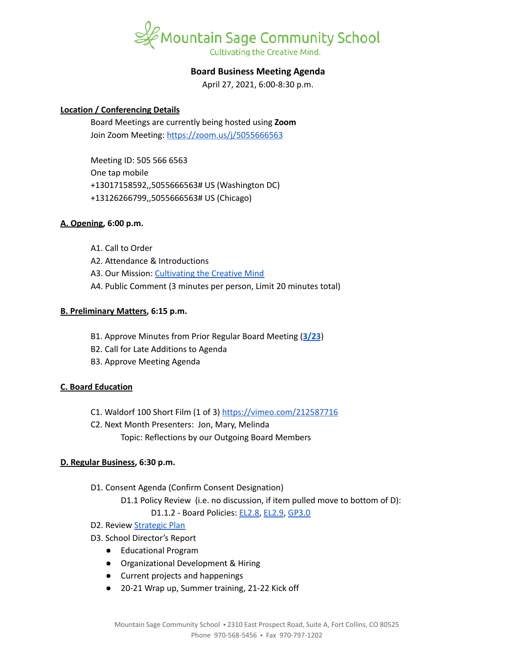

# **Board Business Meeting Agenda**

April 27, 2021, 6:00-8:30 p.m.

### **Location / Conferencing Details**

Board Meetings are currently being hosted using **Zoom** Join Zoom Meeting: <https://zoom.us/j/5055666563>

Meeting ID: 505 566 6563 One tap mobile +13017158592,,5055666563# US (Washington DC) +13126266799,,5055666563# US (Chicago)

#### **A. Opening, 6:00 p.m.**

- A1. Call to Order
- A2. Attendance & Introductions
- A3. Our Mission: [Cultivating](https://www.mountainsage.org/about-us/mission-and-vision/) the Creative Mind
- A4. Public Comment (3 minutes per person, Limit 20 minutes total)

### **B. Preliminary Matters, 6:15 p.m.**

- B1. Approve Minutes from Prior Regular Board Meeting (**[3/23](https://docs.google.com/document/d/1LIJzbes3jdsy6r0oqjMefHOGv7L3HoH-0NPZ4sZ0m_0)**)
- B2. Call for Late Additions to Agenda
- B3. Approve Meeting Agenda

#### **C. Board Education**

- C1. Waldorf 100 Short Film (1 of 3) <https://vimeo.com/212587716>
- C2. Next Month Presenters: Jon, Mary, Melinda
	- Topic: Reflections by our Outgoing Board Members

### **D. Regular Business, 6:30 p.m.**

- D1. Consent Agenda (Confirm Consent Designation) D1.1 Policy Review (i.e. no discussion, if item pulled move to bottom of D):
	- D1.1.2 Board Policies: [EL2.8,](https://docs.google.com/document/d/1CRy-bV8I9d_GuKcWhyaczopX8vJ8mZXot1zXBJNeNxo) [EL2.9](https://docs.google.com/document/d/1GZEKYwkBDBPrMmiQ4Bl5rLYnctwF_E27ZKu9GYY7lYs), [GP3.0](https://docs.google.com/document/d/1rOOj0tNmvU3l9f7mPNuRgEMOeCeu7x5aFbV8KcULAJ0)
- D2. Review [Strategic](https://docs.google.com/spreadsheets/d/1ZcsDhIjaJBoVOI2OMPaYkghgZi_yR7rn31ELgbvqf3E/view) Plan
- D3. School Director's Report
	- Educational Program
	- Organizational Development & Hiring
	- Current projects and happenings
	- 20-21 Wrap up, Summer training, 21-22 Kick off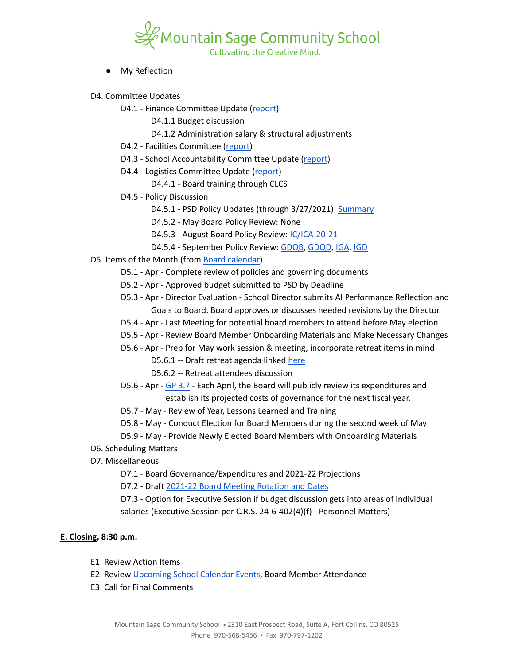

- **My Reflection**
- D4. Committee Updates
	- D4.1 Finance Committee Update ([report](https://docs.google.com/document/d/1AGsgi96G_cOjPKFhBXZKPD9pUCDiw06ih5w4GVAlHOg))
		- D4.1.1 Budget discussion
		- D4.1.2 Administration salary & structural adjustments
	- D4.2 Facilities Committee [\(report\)](https://docs.google.com/document/d/1pHJ0nIDFJ8hF2AT1LR7jnkPjm_B3SRZWQ6hTb7q1xqA)
	- D4.3 School Accountability Committee Update [\(report](https://docs.google.com/document/d/1RiaF0B3I3UbsFNfEP5B0ShuN6goTu8EtYFgLgI_lxQc))
	- D4.4 Logistics Committee Update ([report](https://docs.google.com/document/d/1tlgY7bW3fVutW_zbcUvtSq8cNODb8jTKfHkgEnY7gxk))
		- D4.4.1 Board training through CLCS
	- D4.5 Policy Discussion
		- D4.5.1 PSD Policy Updates (through 3/27/2021): [Summary](https://docs.google.com/document/d/1ytLzG6FyI2YTZ2jXua67zkMRvfkIQeDIyyFgAD-WAPA)
		- D4.5.2 May Board Policy Review: None
		- D4.5.3 August Board Policy Review: [IC/ICA-20-21](https://docs.google.com/document/d/1vYwedJYcHq6j04mLqMZ8YIONGwVQBzBu7vgCSZ_N1o8)
		- D4.5.4 September Policy Review: [GDQB,](https://docs.google.com/document/d/1v4tGD07QFE56LKxTItzfu02rLfKRePcJk07Ao1XmLRg) [GDQD,](https://drive.google.com/open?id=1Ewwb0RIPZasF4ZmW7YUI-MQyvjgK7_aGBF7_874vNm8) [IGA](https://drive.google.com/open?id=17V0SGbIQdLADRZ5pwr_sr0Dl9RI-k8U9fvpsVhO2Cso), [IGD](https://drive.google.com/open?id=1dp0fAXOoFv1_XlJI0FYOgRRxLkpDFmdC1HH8hRpezBg)
- D5. Items of the Month (from Board [calendar\)](https://docs.google.com/document/d/12S6s-qevYMsnj8Cr2yw6uMO7S7hL3gz2oKvXZk5ZndQ/edit?usp=sharing)
	- D5.1 Apr Complete review of policies and governing documents
	- D5.2 Apr Approved budget submitted to PSD by Deadline
	- D5.3 Apr Director Evaluation School Director submits AI Performance Reflection and Goals to Board. Board approves or discusses needed revisions by the Director.
	- D5.4 Apr Last Meeting for potential board members to attend before May election
	- D5.5 Apr Review Board Member Onboarding Materials and Make Necessary Changes
	- D5.6 Apr Prep for May work session & meeting, incorporate retreat items in mind
		- D5.6.1 -- Draft retreat agenda linked [here](https://docs.google.com/document/d/1al6Wf6E5dcKBOmHwp8cZjzjfoswoyltKJTnE9mWddNQ/edit?usp=sharing)
		- D5.6.2 -- Retreat attendees discussion
	- D5.6 Apr GP [3.7](https://drive.google.com/drive/u/0/folders/19cv6o9aniGaXqE5rsNWWb7dxQDcRUoZj) Each April, the Board will publicly review its expenditures and establish its projected costs of governance for the next fiscal year.
	- D5.7 May Review of Year, Lessons Learned and Training
	- D5.8 May Conduct Election for Board Members during the second week of May
	- D5.9 May Provide Newly Elected Board Members with Onboarding Materials
- D6. Scheduling Matters
- D7. Miscellaneous
	- D7.1 Board Governance/Expenditures and 2021-22 Projections
	- D7.2 Draft 2021-22 Board Meeting [Rotation](https://docs.google.com/spreadsheets/d/1PuD68cEx5_6meDde-CYMAhzE72YI3h44im0U24Vb0GE/edit?usp=sharing) and Dates

D7.3 - Option for Executive Session if budget discussion gets into areas of individual salaries (Executive Session per C.R.S. 24-6-402(4)(f) - Personnel Matters)

## **E. Closing, 8:30 p.m.**

- E1. Review Action Items
- E2. Review [Upcoming](https://www.mountainsage.org/calendars/) School Calendar Events, Board Member Attendance
- E3. Call for Final Comments